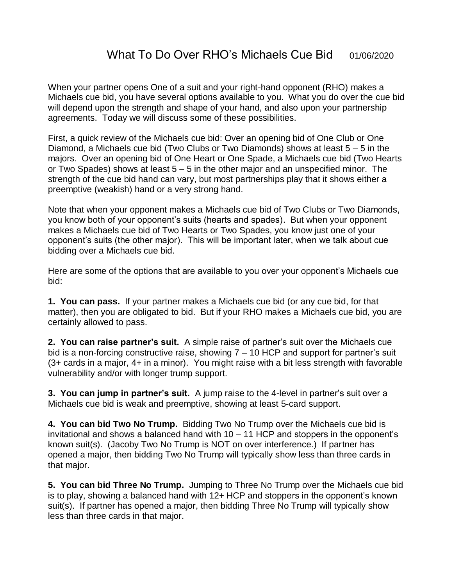When your partner opens One of a suit and your right-hand opponent (RHO) makes a Michaels cue bid, you have several options available to you. What you do over the cue bid will depend upon the strength and shape of your hand, and also upon your partnership agreements. Today we will discuss some of these possibilities.

First, a quick review of the Michaels cue bid: Over an opening bid of One Club or One Diamond, a Michaels cue bid (Two Clubs or Two Diamonds) shows at least  $5 - 5$  in the majors. Over an opening bid of One Heart or One Spade, a Michaels cue bid (Two Hearts or Two Spades) shows at least  $5 - 5$  in the other major and an unspecified minor. The strength of the cue bid hand can vary, but most partnerships play that it shows either a preemptive (weakish) hand or a very strong hand.

Note that when your opponent makes a Michaels cue bid of Two Clubs or Two Diamonds, you know both of your opponent's suits (hearts and spades). But when your opponent makes a Michaels cue bid of Two Hearts or Two Spades, you know just one of your opponent's suits (the other major). This will be important later, when we talk about cue bidding over a Michaels cue bid.

Here are some of the options that are available to you over your opponent's Michaels cue bid:

**1. You can pass.** If your partner makes a Michaels cue bid (or any cue bid, for that matter), then you are obligated to bid. But if your RHO makes a Michaels cue bid, you are certainly allowed to pass.

**2. You can raise partner's suit.** A simple raise of partner's suit over the Michaels cue bid is a non-forcing constructive raise, showing  $7 - 10$  HCP and support for partner's suit (3+ cards in a major, 4+ in a minor). You might raise with a bit less strength with favorable vulnerability and/or with longer trump support.

**3. You can jump in partner's suit.** A jump raise to the 4-level in partner's suit over a Michaels cue bid is weak and preemptive, showing at least 5-card support.

**4. You can bid Two No Trump.** Bidding Two No Trump over the Michaels cue bid is invitational and shows a balanced hand with 10 – 11 HCP and stoppers in the opponent's known suit(s). (Jacoby Two No Trump is NOT on over interference.) If partner has opened a major, then bidding Two No Trump will typically show less than three cards in that major.

**5. You can bid Three No Trump.** Jumping to Three No Trump over the Michaels cue bid is to play, showing a balanced hand with 12+ HCP and stoppers in the opponent's known suit(s). If partner has opened a major, then bidding Three No Trump will typically show less than three cards in that major.